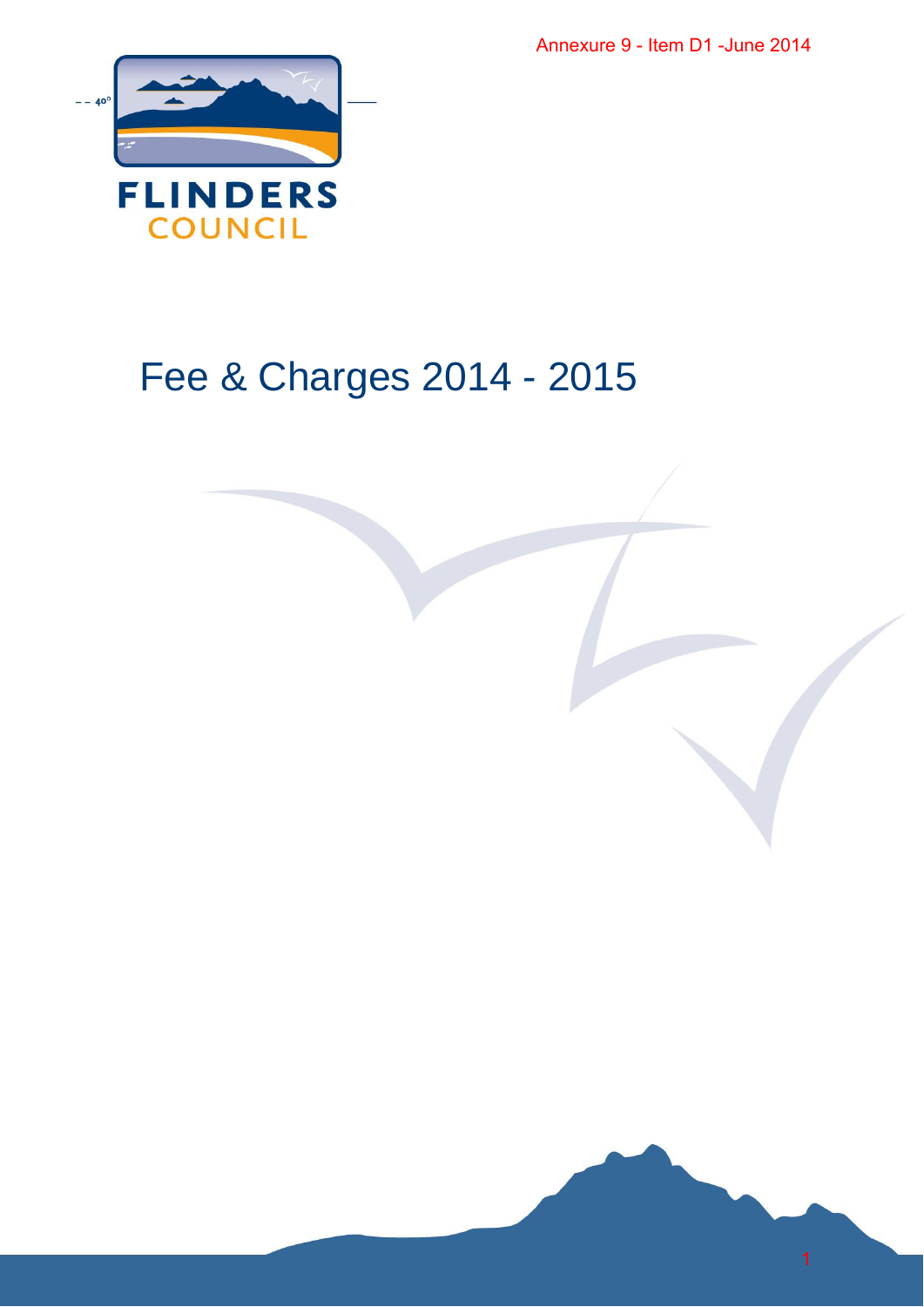

## Fee & Charges 2014 - 2015 Annexure 9 - Item D1 -June 2014<br>2015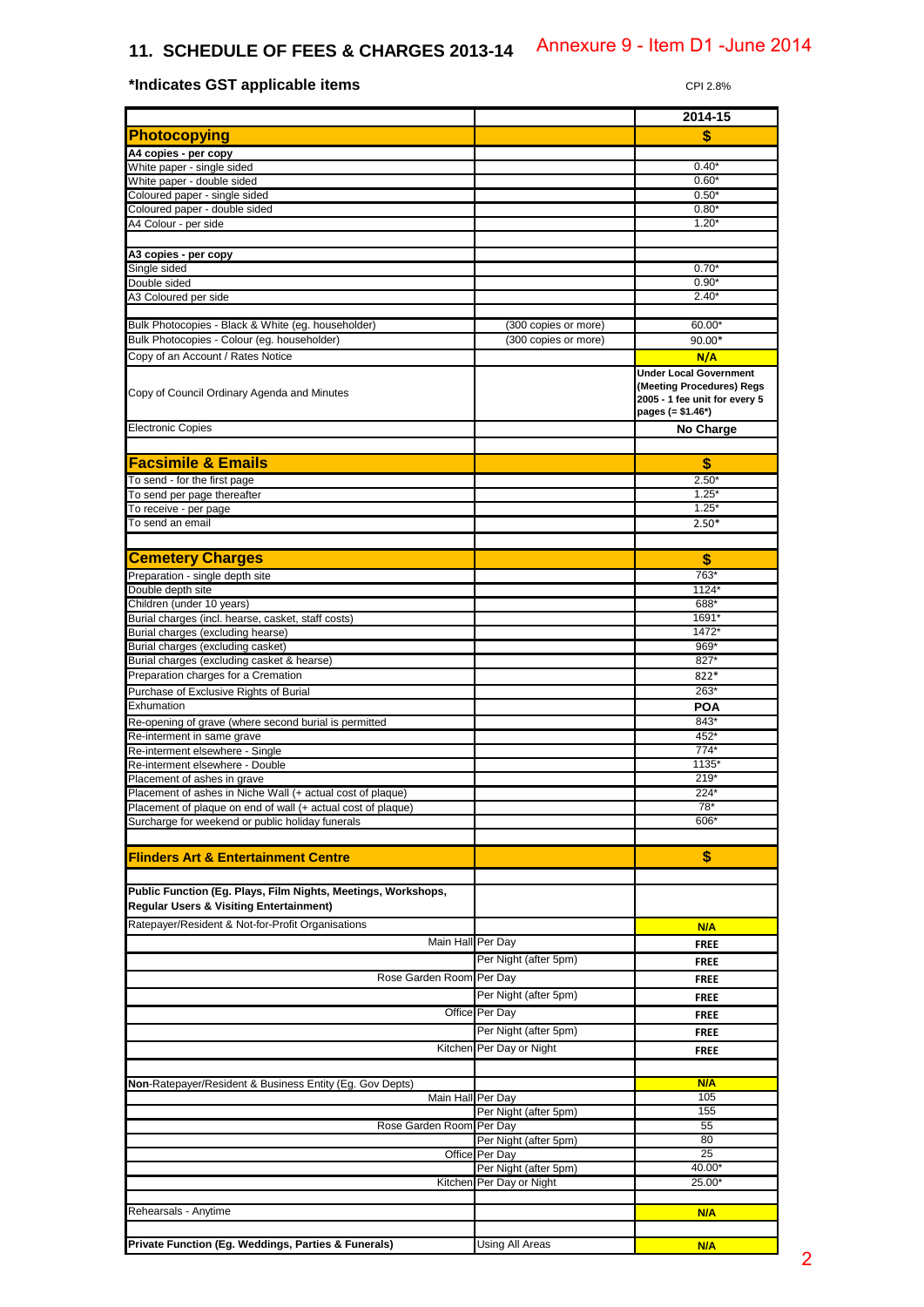## **11. SCHEDULE OF FEES & CHARGES 2013-14**

**\*Indicates GST applicable items**  $CP12.8%$ 

## **2014-15 Photocopying \$ A4 copies - per copy**  White paper - single sided  $0.40^{\circ}$ White paper - double sided 0.60\* (a) 0.60\* (a) 0.60\* (a) 0.60\* (a) 0.60\* (a) 0.60\* (a) 0.60\* (a) 0.60\* (a) 0.60\* (a) 0.60\* (a) 0.50\* (a) 0.50\* (a) 0.50\* (a) 0.50\* (a) 0.50\* (a) 0.50\* (a) 0.50\* (a) 0.50\* (a) 0.50\* (a) 0.50\* Coloured paper - single sided Coloured paper - double sided 0.80\* A4 Colour - per side 1.20\* (1.20\* 1.20\* 1.20\* 1.20\* 1.20\* 1.20\* 1.20\* 1.20\* 1.20\* 1.20\* 1.20\* 1.20\* 1.20\* 1.20 **A3 copies - per copy** Single sided and the control of the control of the control of the control of the control of the control of the control of the control of the control of the control of the control of the control of the control of the contro Double sided and the contract of the contract of the contract of the contract of the contract of the contract of the contract of the contract of the contract of the contract of the contract of the contract of the contract A3 Coloured per side 2.40\* Bulk Photocopies - Black & White (eg. householder) (300 copies or more) 60.00° Bulk Photocopies - Colour (eg. householder) (300 copies or more) 90.00\* Copy of an Account / Rates Notice **N/A** Copy of Council Ordinary Agenda and Minutes **Under Local Government (Meeting Procedures) Regs 2005 - 1 fee unit for every 5 pages (= \$1.46\*) Electronic Copies No Charge Facsimile & Emails \$** To send - for the first page  $2.50^{\circ}$ To send per page thereafter the control of the control of the control of the control of the control of the control of the control of the control of the control of the control of the control of the control of the control of To receive - per page 1.25\* To send an email  $\overline{2.50^*}$ **Cemetery Charges And Control of the Cemetery Charges And Control of the Cemetery Charges** Preparation - single depth site 763\*<br>Double depth site 763\*<br>Double depth site 1124\* Double depth site Children (under 10 years) 688\* Burial charges (incl. hearse, casket, staff costs) Burial charges (excluding hearse) 1472 Burial charges (excluding casket) 869\* (and the state of the state of the state of the state of the state of the state of the state of the state of the state of the state of the state of the state of the state of the state Burial charges (excluding casket & hearse) 827\* **Preparation charges for a Cremation 822\* Contract and Cremation 822\* Contract and Cremation 822\*** Purchase of Exclusive Rights of Burial 263<sup>\*</sup> 263<sup>\*</sup> Exhumation **POA** Re-opening of grave (where second burial is permitted 843<sup>\*</sup> 843<sup>\*</sup> Re-interment in same grave 452\* (All the state of the state of the state of the state of the state of the state of the state of the state of the state of the state of the state of the state of the state of the state of the Re-interment elsewhere - Single 774 Re-interment elsewhere - Double 1135 Placement of ashes in grave 219<br>
Placement of ashes in Niche Wall (+ actual cost of plaque) 224<br>
224 Placement of ashes in Niche Wall (+ actual cost of plaque) Placement of plaque on end of wall (+ actual cost of plaque) The cost of placement of plaque 78\* Surcharge for weekend or public holiday funerals 606<sup>\*</sup> 606<sup>\*</sup> **Flinders Art & Entertainment Centre \$ Public Function (Eg. Plays, Film Nights, Meetings, Workshops, Regular Users & Visiting Entertainment)** Ratepayer/Resident & Not-for-Profit Organisations **N/A N/A N/A** Main Hall Per Day **FREE** Per Night (after 5pm) **FREE** Rose Garden Room Per Day **FREE** Per Night (after 5pm) **FREE** Office Per Day **FREE** Per Night (after 5pm) **FREE** Kitchen Per Day or Night **FREE Non-Ratepayer/Resident & Business Entity (Eg. Gov Depts) <b>No. All Contains a Container Container Container Contains a N/A** Main Hall Per Day 105<br>
Per Night (after 5pm) 155 Per Night (after 5pm) Rose Garden Room Per Day 55 Per Night (after 5pm) 80 Office Per Day 25<br>
Per Night (after 5pm) 40.00 Per Night (after 5pm) 40.00<br>Per Day or Night (40.00) 40.00 Kitchen Per Day or Night Rehearsals - Anytime **N/A Private Function (Eg. Weddings, Parties & Funerals) Company Control Using All Areas Company Company Company Company** Annexure 9 - Item D1 - June 2014<br>
CPI 2.6%<br>
2014-15<br>
Sand CPI 2.6%<br>
2016-15<br>
The CRIP CONSULTS of CRIP CONSULTS (CRIP)<br>
CONSULTS OF CRIP CONSULTS (CRIP)<br>
CONSULTS OF CRIP CONSULTS (CRIP CRIP CONSULTS)<br>
CONSULTS (CRIP CRIP)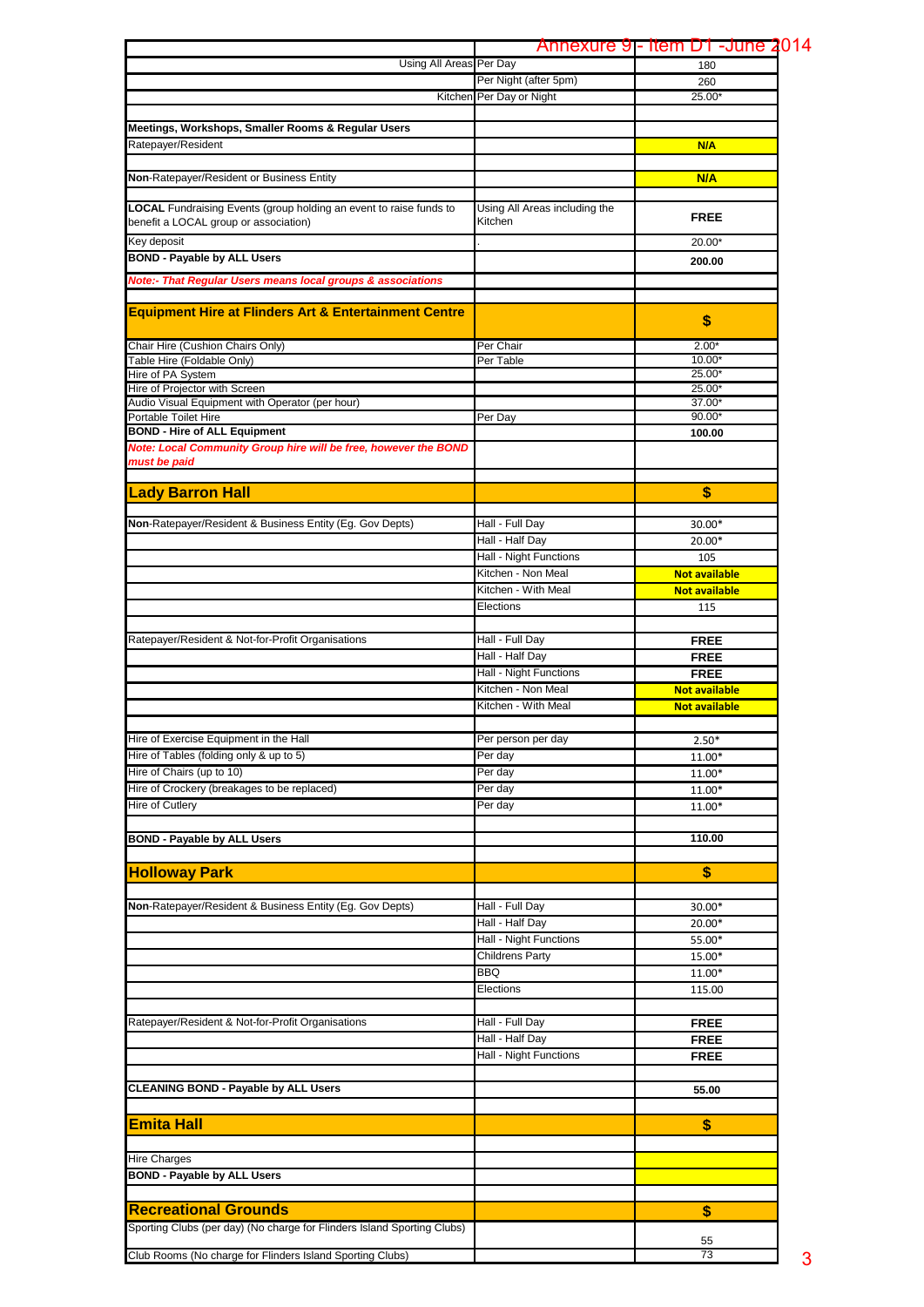|                                                                           |                               | Annexure 9- Item D1 - June 2014 |
|---------------------------------------------------------------------------|-------------------------------|---------------------------------|
| Using All Areas Per Day                                                   |                               | 180                             |
|                                                                           | Per Night (after 5pm)         | 260                             |
| Kitchen                                                                   | Per Day or Night              | 25.00*                          |
|                                                                           |                               |                                 |
| Meetings, Workshops, Smaller Rooms & Regular Users                        |                               |                                 |
| Ratepayer/Resident                                                        |                               | N/A                             |
|                                                                           |                               |                                 |
| Non-Ratepayer/Resident or Business Entity                                 |                               | N/A                             |
|                                                                           |                               |                                 |
| <b>LOCAL</b> Fundraising Events (group holding an event to raise funds to | Using All Areas including the |                                 |
| benefit a LOCAL group or association)                                     | Kitchen                       | <b>FREE</b>                     |
|                                                                           |                               |                                 |
| Key deposit                                                               |                               | 20.00*                          |
| <b>BOND - Payable by ALL Users</b>                                        |                               | 200.00                          |
| <b>Note:- That Regular Users means local groups &amp; associations</b>    |                               |                                 |
|                                                                           |                               |                                 |
| <b>Equipment Hire at Flinders Art &amp; Entertainment Centre</b>          |                               |                                 |
|                                                                           |                               | \$                              |
| Chair Hire (Cushion Chairs Only)                                          | Per Chair                     | $2.00*$                         |
| Table Hire (Foldable Only)                                                | Per Table                     | $10.00*$                        |
| Hire of PA System                                                         |                               | $25.00*$                        |
| Hire of Projector with Screen                                             |                               | 25.00*                          |
| Audio Visual Equipment with Operator (per hour)                           |                               | 37.00*                          |
| Portable Toilet Hire                                                      | Per Day                       | $90.00*$                        |
| <b>BOND - Hire of ALL Equipment</b>                                       |                               | 100.00                          |
| Note: Local Community Group hire will be free, however the BOND           |                               |                                 |
| must be paid                                                              |                               |                                 |
|                                                                           |                               |                                 |
| <b>Lady Barron Hall</b>                                                   |                               | \$                              |
|                                                                           |                               |                                 |
| Non-Ratepayer/Resident & Business Entity (Eg. Gov Depts)                  | Hall - Full Day               | 30.00*                          |
|                                                                           | Hall - Half Day               | 20.00*                          |
|                                                                           | Hall - Night Functions        | 105                             |
|                                                                           | Kitchen - Non Meal            | <b>Not available</b>            |
|                                                                           | Kitchen - With Meal           | <b>Not available</b>            |
|                                                                           |                               |                                 |
|                                                                           | Elections                     | 115                             |
|                                                                           |                               |                                 |
| Ratepayer/Resident & Not-for-Profit Organisations                         | Hall - Full Day               | <b>FREE</b>                     |
|                                                                           | Hall - Half Day               | <b>FREE</b>                     |
|                                                                           | Hall - Night Functions        | <b>FREE</b>                     |
|                                                                           | Kitchen - Non Meal            | <b>Not available</b>            |
|                                                                           | Kitchen - With Meal           | <b>Not available</b>            |
|                                                                           |                               |                                 |
| Hire of Exercise Equipment in the Hall                                    | Per person per day            | $2.50*$                         |
| Hire of Tables (folding only & up to 5)                                   | Per day                       | 11.00*                          |
| Hire of Chairs (up to 10)                                                 | Per day                       | 11.00*                          |
| Hire of Crockery (breakages to be replaced)                               | Per day                       | 11.00*                          |
| Hire of Cutlery                                                           | Per day                       | 11.00*                          |
|                                                                           |                               |                                 |
|                                                                           |                               |                                 |
| <b>BOND - Payable by ALL Users</b>                                        |                               | 110.00                          |
|                                                                           |                               |                                 |
| <b>Holloway Park</b>                                                      |                               | \$                              |
|                                                                           |                               |                                 |
| Non-Ratepayer/Resident & Business Entity (Eg. Gov Depts)                  | Hall - Full Day               | 30.00*                          |
|                                                                           | Hall - Half Day               | 20.00*                          |
|                                                                           | Hall - Night Functions        | 55.00*                          |
|                                                                           | <b>Childrens Party</b>        | 15.00*                          |
|                                                                           | <b>BBQ</b>                    | 11.00*                          |
|                                                                           | Elections                     | 115.00                          |
|                                                                           |                               |                                 |
|                                                                           |                               |                                 |
| Ratepayer/Resident & Not-for-Profit Organisations                         | Hall - Full Day               | <b>FREE</b>                     |
|                                                                           | Hall - Half Day               | <b>FREE</b>                     |
|                                                                           | Hall - Night Functions        | <b>FREE</b>                     |
|                                                                           |                               |                                 |
| <b>CLEANING BOND - Payable by ALL Users</b>                               |                               | 55.00                           |
|                                                                           |                               |                                 |
| <b>Emita Hall</b>                                                         |                               | \$                              |
|                                                                           |                               |                                 |
|                                                                           |                               |                                 |
| <b>Hire Charges</b>                                                       |                               |                                 |
| <b>BOND - Payable by ALL Users</b>                                        |                               |                                 |
|                                                                           |                               |                                 |
| <b>Recreational Grounds</b>                                               |                               | \$                              |
| Sporting Clubs (per day) (No charge for Flinders Island Sporting Clubs)   |                               |                                 |
|                                                                           |                               | 55                              |
| Club Rooms (No charge for Flinders Island Sporting Clubs)                 |                               | 73                              |
|                                                                           |                               |                                 |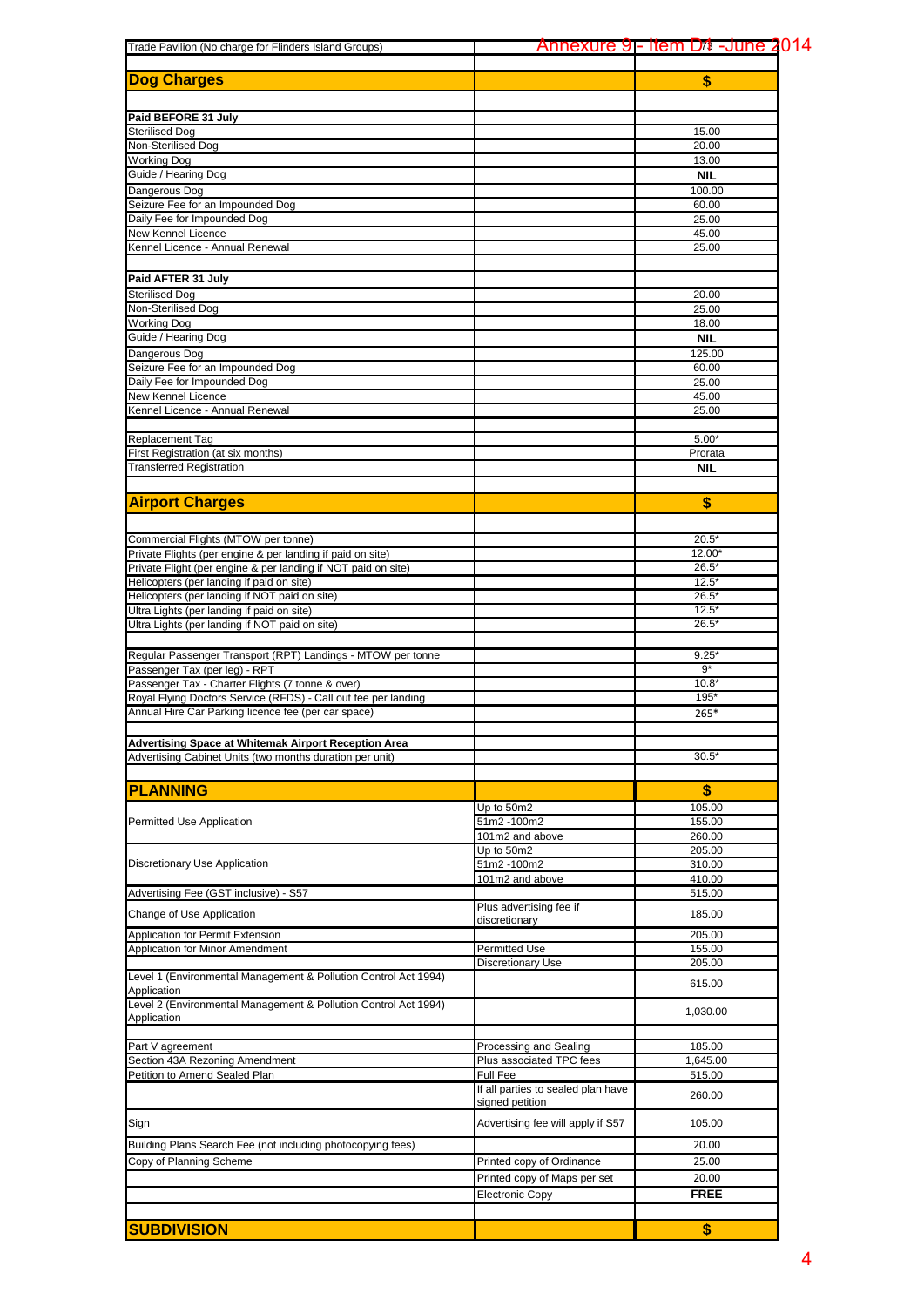|                                                                 |                                    | <u>Annexure 9]- Item D4 -June 2014</u>                                                                                                                                |
|-----------------------------------------------------------------|------------------------------------|-----------------------------------------------------------------------------------------------------------------------------------------------------------------------|
| <b>Dog Charges</b>                                              |                                    | \$                                                                                                                                                                    |
|                                                                 |                                    |                                                                                                                                                                       |
| Paid BEFORE 31 July                                             |                                    |                                                                                                                                                                       |
| Sterilised Dog                                                  |                                    | 15.00<br>20.00                                                                                                                                                        |
| Non-Sterilised Dog<br>Working Dog                               |                                    | 13.00                                                                                                                                                                 |
| Guide / Hearing Dog                                             |                                    | <b>NIL</b>                                                                                                                                                            |
| Dangerous Dog                                                   |                                    | 100.00                                                                                                                                                                |
| Seizure Fee for an Impounded Dog                                |                                    | 60.00                                                                                                                                                                 |
| Daily Fee for Impounded Dog                                     |                                    | 25.00                                                                                                                                                                 |
| New Kennel Licence                                              |                                    | 45.00                                                                                                                                                                 |
| Kennel Licence - Annual Renewal                                 |                                    | 25.00                                                                                                                                                                 |
|                                                                 |                                    |                                                                                                                                                                       |
| Paid AFTER 31 July                                              |                                    |                                                                                                                                                                       |
| Sterilised Dog                                                  |                                    | 20.00                                                                                                                                                                 |
| Non-Sterilised Dog                                              |                                    | 25.00                                                                                                                                                                 |
| Working Dog                                                     |                                    | 18.00                                                                                                                                                                 |
| Guide / Hearing Dog                                             |                                    | <b>NIL</b>                                                                                                                                                            |
| Dangerous Dog                                                   |                                    | 125.00                                                                                                                                                                |
| Seizure Fee for an Impounded Dog                                |                                    | 60.00                                                                                                                                                                 |
| Daily Fee for Impounded Dog                                     |                                    | 25.00                                                                                                                                                                 |
| New Kennel Licence                                              |                                    | 45.00                                                                                                                                                                 |
| Kennel Licence - Annual Renewal                                 |                                    | 25.00                                                                                                                                                                 |
|                                                                 |                                    |                                                                                                                                                                       |
| <b>Replacement Tag</b>                                          |                                    | $5.00*$                                                                                                                                                               |
| First Registration (at six months)                              |                                    | Prorata                                                                                                                                                               |
| <b>Transferred Registration</b>                                 |                                    | <b>NIL</b>                                                                                                                                                            |
|                                                                 |                                    |                                                                                                                                                                       |
| <b>Airport Charges</b>                                          |                                    | \$                                                                                                                                                                    |
|                                                                 |                                    |                                                                                                                                                                       |
| Commercial Flights (MTOW per tonne)                             |                                    |                                                                                                                                                                       |
| Private Flights (per engine & per landing if paid on site)      |                                    |                                                                                                                                                                       |
| Private Flight (per engine & per landing if NOT paid on site)   |                                    |                                                                                                                                                                       |
| Helicopters (per landing if paid on site)                       |                                    |                                                                                                                                                                       |
| Helicopters (per landing if NOT paid on site)                   |                                    | $26.5*$                                                                                                                                                               |
| Ultra Lights (per landing if paid on site)                      |                                    | $12.5*$                                                                                                                                                               |
| Ultra Lights (per landing if NOT paid on site)                  |                                    | $26.5*$                                                                                                                                                               |
|                                                                 |                                    |                                                                                                                                                                       |
| Regular Passenger Transport (RPT) Landings - MTOW per tonne     |                                    | 9.25'                                                                                                                                                                 |
| Passenger Tax (per leg) - RPT                                   |                                    | $9*$                                                                                                                                                                  |
| Passenger Tax - Charter Flights (7 tonne & over)                |                                    | $10.8*$                                                                                                                                                               |
| Royal Flying Doctors Service (RFDS) - Call out fee per landing  |                                    | 195*                                                                                                                                                                  |
| Annual Hire Car Parking licence fee (per car space)             |                                    | $265*$                                                                                                                                                                |
|                                                                 |                                    |                                                                                                                                                                       |
| Advertising Space at Whitemak Airport Reception Area            |                                    |                                                                                                                                                                       |
| Advertising Cabinet Units (two months duration per unit)        |                                    |                                                                                                                                                                       |
|                                                                 |                                    |                                                                                                                                                                       |
| <b>PLANNING</b>                                                 |                                    |                                                                                                                                                                       |
|                                                                 | Up to 50m2                         |                                                                                                                                                                       |
| <b>Permitted Use Application</b>                                | 51m2 -100m2                        | 155.00                                                                                                                                                                |
|                                                                 | 101m2 and above                    | $20.5*$<br>12.00<br>$26.5*$<br>$12.5*$<br>$30.5*$<br>\$<br>105.00<br>260.00<br>205.00<br>310.00<br>410.00<br>515.00<br>185.00<br>205.00<br>155.00<br>205.00<br>615.00 |
|                                                                 | Up to 50m2                         |                                                                                                                                                                       |
| Discretionary Use Application                                   | 51m2-100m2                         |                                                                                                                                                                       |
|                                                                 | 101m2 and above                    |                                                                                                                                                                       |
| Advertising Fee (GST inclusive) - S57                           |                                    |                                                                                                                                                                       |
| Change of Use Application                                       | Plus advertising fee if            |                                                                                                                                                                       |
|                                                                 | discretionary                      |                                                                                                                                                                       |
| Application for Permit Extension                                |                                    |                                                                                                                                                                       |
| Application for Minor Amendment                                 | <b>Permitted Use</b>               |                                                                                                                                                                       |
| Level 1 (Environmental Management & Pollution Control Act 1994) | Discretionary Use                  |                                                                                                                                                                       |
| Application                                                     |                                    |                                                                                                                                                                       |
| Level 2 (Environmental Management & Pollution Control Act 1994) |                                    |                                                                                                                                                                       |
| Application                                                     |                                    | 1,030.00                                                                                                                                                              |
|                                                                 |                                    |                                                                                                                                                                       |
| Part V agreement                                                | Processing and Sealing             | 185.00                                                                                                                                                                |
| Section 43A Rezoning Amendment                                  | Plus associated TPC fees           | 1,645.00                                                                                                                                                              |
| Petition to Amend Sealed Plan                                   | <b>Full Fee</b>                    | 515.00                                                                                                                                                                |
|                                                                 | If all parties to sealed plan have | 260.00                                                                                                                                                                |
|                                                                 | signed petition                    |                                                                                                                                                                       |
| Sign                                                            | Advertising fee will apply if S57  | 105.00                                                                                                                                                                |
|                                                                 |                                    |                                                                                                                                                                       |
| Building Plans Search Fee (not including photocopying fees)     |                                    | 20.00                                                                                                                                                                 |
| Copy of Planning Scheme                                         | Printed copy of Ordinance          | 25.00                                                                                                                                                                 |
|                                                                 | Printed copy of Maps per set       | 20.00                                                                                                                                                                 |
|                                                                 | Electronic Copy                    | <b>FREE</b>                                                                                                                                                           |
|                                                                 |                                    |                                                                                                                                                                       |
|                                                                 |                                    |                                                                                                                                                                       |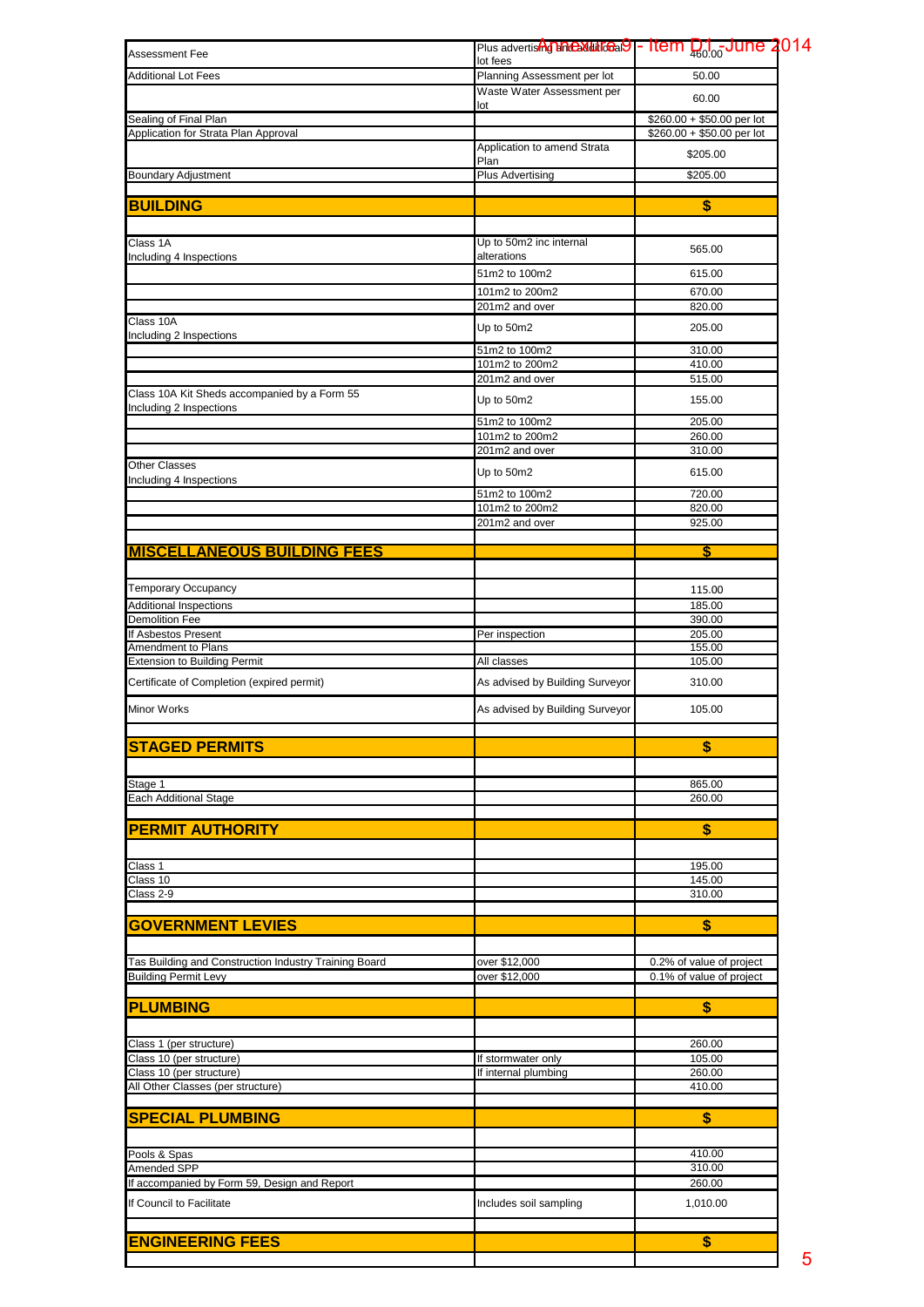| <b>Assessment Fee</b>                                 | Plus advertish <b>The Multiceal 9</b> - Item D <sub>100</sub> -June 2014<br>lot fees |                            |
|-------------------------------------------------------|--------------------------------------------------------------------------------------|----------------------------|
| <b>Additional Lot Fees</b>                            | Planning Assessment per lot                                                          | 50.00                      |
|                                                       | Waste Water Assessment per                                                           | 60.00                      |
| Sealing of Final Plan                                 | lot                                                                                  | $$260.00 + $50.00$ per lot |
| Application for Strata Plan Approval                  |                                                                                      | \$260.00 + \$50.00 per lot |
|                                                       | Application to amend Strata                                                          | \$205.00                   |
| <b>Boundary Adjustment</b>                            | Plan<br><b>Plus Advertising</b>                                                      | \$205.00                   |
|                                                       |                                                                                      |                            |
| <b>BUILDING</b>                                       |                                                                                      | \$                         |
| Class 1A                                              | Up to 50m2 inc internal                                                              |                            |
| Including 4 Inspections                               | alterations                                                                          | 565.00                     |
|                                                       | 51m2 to 100m2                                                                        | 615.00                     |
|                                                       | 101m2 to 200m2                                                                       | 670.00                     |
| Class 10A                                             | 201m2 and over                                                                       | 820.00                     |
| Including 2 Inspections                               | Up to 50m2                                                                           | 205.00                     |
|                                                       | 51m2 to 100m2                                                                        | 310.00                     |
|                                                       | 101m2 to 200m2<br>201m2 and over                                                     | 410.00<br>515.00           |
| Class 10A Kit Sheds accompanied by a Form 55          |                                                                                      |                            |
| Including 2 Inspections                               | Up to 50m2                                                                           | 155.00                     |
|                                                       | 51m2 to 100m2<br>101m2 to 200m2                                                      | 205.00<br>260.00           |
|                                                       | 201m2 and over                                                                       | 310.00                     |
| <b>Other Classes</b>                                  | Up to 50m2                                                                           | 615.00                     |
| Including 4 Inspections                               | 51m2 to 100m2                                                                        | 720.00                     |
|                                                       | 101m2 to 200m2                                                                       | 820.00                     |
|                                                       | 201m2 and over                                                                       | 925.00                     |
| <b>MISCELLANEOUS BUILDING FEES</b>                    |                                                                                      | \$                         |
|                                                       |                                                                                      |                            |
| <b>Temporary Occupancy</b>                            |                                                                                      | 115.00                     |
| <b>Additional Inspections</b>                         |                                                                                      | 185.00                     |
| <b>Demolition Fee</b>                                 |                                                                                      | 390.00                     |
| If Asbestos Present<br>Amendment to Plans             | Per inspection                                                                       | 205.00<br>155.00           |
| <b>Extension to Building Permit</b>                   | All classes                                                                          | 105.00                     |
| Certificate of Completion (expired permit)            | As advised by Building Surveyor                                                      | 310.00                     |
| Minor Works                                           | As advised by Building Surveyor                                                      | 105.00                     |
|                                                       |                                                                                      |                            |
| <b>STAGED PERMITS</b>                                 |                                                                                      | \$                         |
| Stage 1                                               |                                                                                      | 865.00                     |
| <b>Each Additional Stage</b>                          |                                                                                      | 260.00                     |
|                                                       |                                                                                      |                            |
| <b>PERMIT AUTHORITY</b>                               |                                                                                      | \$                         |
| Class 1                                               |                                                                                      | 195.00                     |
| Class 10                                              |                                                                                      | 145.00                     |
| Class 2-9                                             |                                                                                      | 310.00                     |
| <b>GOVERNMENT LEVIES</b>                              |                                                                                      | \$                         |
|                                                       |                                                                                      |                            |
| Tas Building and Construction Industry Training Board | over \$12,000                                                                        | 0.2% of value of project   |
| <b>Building Permit Levy</b>                           | over \$12,000                                                                        | 0.1% of value of project   |
| <b>PLUMBING</b>                                       |                                                                                      | \$                         |
|                                                       |                                                                                      |                            |
| Class 1 (per structure)<br>Class 10 (per structure)   | If stormwater only                                                                   | 260.00<br>105.00           |
| Class 10 (per structure)                              | If internal plumbing                                                                 | 260.00                     |
| All Other Classes (per structure)                     |                                                                                      | 410.00                     |
| <b>SPECIAL PLUMBING</b>                               |                                                                                      | \$                         |
|                                                       |                                                                                      |                            |
| Pools & Spas                                          |                                                                                      | 410.00                     |
| Amended SPP                                           |                                                                                      | 310.00                     |
| If accompanied by Form 59, Design and Report          |                                                                                      | 260.00                     |
| If Council to Facilitate                              | Includes soil sampling                                                               | 1,010.00                   |
|                                                       |                                                                                      |                            |
| <b>ENGINEERING FEES</b>                               |                                                                                      | \$                         |
|                                                       |                                                                                      |                            |